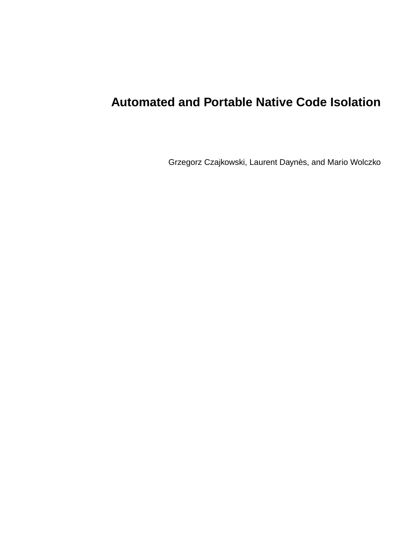# **Automated and Portable Native Code Isolation**

Grzegorz Czajkowski, Laurent Daynès, and Mario Wolczko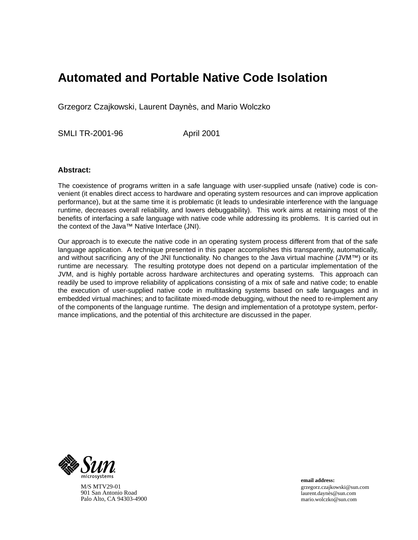# **Automated and Portable Native Code Isolation**

Grzegorz Czajkowski, Laurent Daynès, and Mario Wolczko

SMLI TR-2001-96 April 2001

# **Abstract:**

The coexistence of programs written in a safe language with user-supplied unsafe (native) code is convenient (it enables direct access to hardware and operating system resources and can improve application performance), but at the same time it is problematic (it leads to undesirable interference with the language runtime, decreases overall reliability, and lowers debuggability). This work aims at retaining most of the benefits of interfacing a safe language with native code while addressing its problems. It is carried out in the context of the Java™ Native Interface (JNI).

Our approach is to execute the native code in an operating system process different from that of the safe language application. A technique presented in this paper accomplishes this transparently, automatically, and without sacrificing any of the JNI functionality. No changes to the Java virtual machine (JVM™) or its runtime are necessary. The resulting prototype does not depend on a particular implementation of the JVM, and is highly portable across hardware architectures and operating systems. This approach can readily be used to improve reliability of applications consisting of a mix of safe and native code; to enable the execution of user-supplied native code in multitasking systems based on safe languages and in embedded virtual machines; and to facilitate mixed-mode debugging, without the need to re-implement any of the components of the language runtime. The design and implementation of a prototype system, performance implications, and the potential of this architecture are discussed in the paper.



M/S MTV29-01 901 San Antonio Road Palo Alto, CA 94303-4900 **email address:** grzegorz.czajkowski@sun.com laurent.daynès@sun.com mario.wolczko@sun.com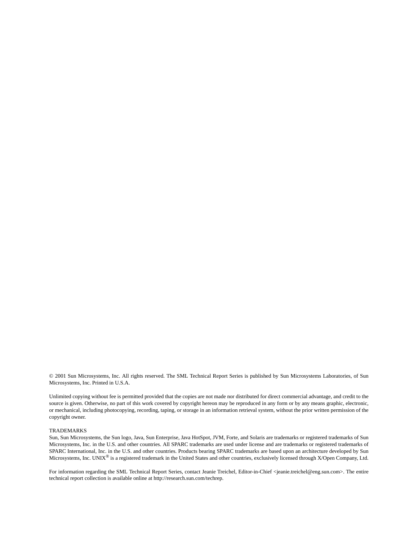© 2001 Sun Microsystems, Inc. All rights reserved. The SML Technical Report Series is published by Sun Microsystems Laboratories, of Sun Microsystems, Inc. Printed in U.S.A.

Unlimited copying without fee is permitted provided that the copies are not made nor distributed for direct commercial advantage, and credit to the source is given. Otherwise, no part of this work covered by copyright hereon may be reproduced in any form or by any means graphic, electronic, or mechanical, including photocopying, recording, taping, or storage in an information retrieval system, without the prior written permission of the copyright owner.

#### TRADEMARKS

Sun, Sun Microsystems, the Sun logo, Java, Sun Enterprise, Java HotSpot, JVM, Forte, and Solaris are trademarks or registered trademarks of Sun Microsystems, Inc. in the U.S. and other countries. All SPARC trademarks are used under license and are trademarks or registered trademarks of SPARC International, Inc. in the U.S. and other countries. Products bearing SPARC trademarks are based upon an architecture developed by Sun Microsystems, Inc. UNIX® is a registered trademark in the United States and other countries, exclusively licensed through X/Open Company, Ltd.

For information regarding the SML Technical Report Series, contact Jeanie Treichel, Editor-in-Chief <jeanie.treichel@eng.sun.com>. The entire technical report collection is available online at http://research.sun.com/techrep.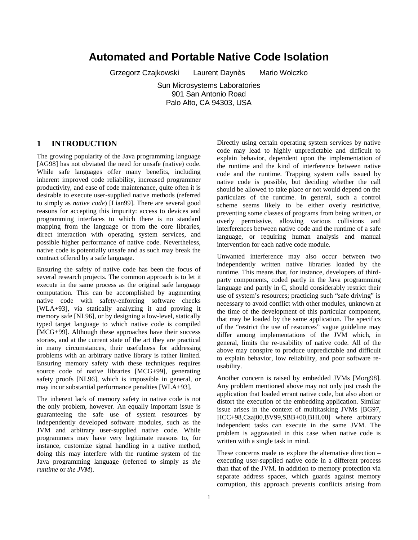# **Automated and Portable Native Code Isolation**

Grzegorz Czajkowski Laurent Daynès Mario Wolczko

Sun Microsystems Laboratories 901 San Antonio Road Palo Alto, CA 94303, USA

#### **1 INTRODUCTION**

The growing popularity of the Java programming language [AG98] has not obviated the need for unsafe (native) code. While safe languages offer many benefits, including inherent improved code reliability, increased programmer productivity, and ease of code maintenance, quite often it is desirable to execute user-supplied native methods (referred to simply as *native code*) [Lian99]. There are several good reasons for accepting this impurity: access to devices and programming interfaces to which there is no standard mapping from the language or from the core libraries, direct interaction with operating system services, and possible higher performance of native code. Nevertheless, native code is potentially unsafe and as such may break the contract offered by a safe language.

Ensuring the safety of native code has been the focus of several research projects. The common approach is to let it execute in the same process as the original safe language computation. This can be accomplished by augmenting native code with safety-enforcing software checks [WLA+93], via statically analyzing it and proving it memory safe [NL96], or by designing a low-level, statically typed target language to which native code is compiled [MCG+99]. Although these approaches have their success stories, and at the current state of the art they are practical in many circumstances, their usefulness for addressing problems with an arbitrary native library is rather limited. Ensuring memory safety with these techniques requires source code of native libraries [MCG+99], generating safety proofs [NL96], which is impossible in general, or may incur substantial performance penalties [WLA+93].

The inherent lack of memory safety in native code is not the only problem, however. An equally important issue is guaranteeing the safe use of system resources by independently developed software modules, such as the JVM and arbitrary user-supplied native code. While programmers may have very legitimate reasons to, for instance, customize signal handling in a native method, doing this may interfere with the runtime system of the Java programming language (referred to simply as *the runtime* or *the JVM*).

Directly using certain operating system services by native code may lead to highly unpredictable and difficult to explain behavior, dependent upon the implementation of the runtime and the kind of interference between native code and the runtime. Trapping system calls issued by native code is possible, but deciding whether the call should be allowed to take place or not would depend on the particulars of the runtime. In general, such a control scheme seems likely to be either overly restrictive, preventing some classes of programs from being written, or overly permissive, allowing various collisions and interferences between native code and the runtime of a safe language, or requiring human analysis and manual intervention for each native code module.

Unwanted interference may also occur between two independently written native libraries loaded by the runtime. This means that, for instance, developers of thirdparty components, coded partly in the Java programming language and partly in C, should considerably restrict their use of system's resources; practicing such "safe driving" is necessary to avoid conflict with other modules, unknown at the time of the development of this particular component, that may be loaded by the same application. The specifics of the "restrict the use of resources" vague guideline may differ among implementations of the JVM which, in general, limits the re-usability of native code. All of the above may conspire to produce unpredictable and difficult to explain behavior, low reliability, and poor software reusability.

Another concern is raised by embedded JVMs [Morg98]. Any problem mentioned above may not only just crash the application that loaded errant native code, but also abort or distort the execution of the embedding application. Similar issue arises in the context of multitasking JVMs [BG97, HCC+98,Czaj00,BV99,SBB+00,BHL00] where arbitrary independent tasks can execute in the same JVM. The problem is aggravated in this case when native code is written with a single task in mind.

These concerns made us explore the alternative direction – executing user-supplied native code in a different process than that of the JVM. In addition to memory protection via separate address spaces, which guards against memory corruption, this approach prevents conflicts arising from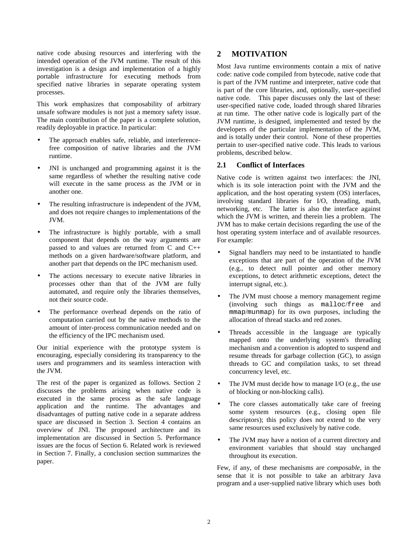native code abusing resources and interfering with the intended operation of the JVM runtime. The result of this investigation is a design and implementation of a highly portable infrastructure for executing methods from specified native libraries in separate operating system processes.

This work emphasizes that composability of arbitrary unsafe software modules is not just a memory safety issue. The main contribution of the paper is a complete solution, readily deployable in practice. In particular:

- The approach enables safe, reliable, and interferencefree composition of native libraries and the JVM runtime.
- JNI is unchanged and programming against it is the same regardless of whether the resulting native code will execute in the same process as the JVM or in another one.
- The resulting infrastructure is independent of the JVM, and does not require changes to implementations of the JVM.
- The infrastructure is highly portable, with a small component that depends on the way arguments are passed to and values are returned from C and C++ methods on a given hardware/software platform, and another part that depends on the IPC mechanism used.
- The actions necessary to execute native libraries in processes other than that of the JVM are fully automated, and require only the libraries themselves, not their source code.
- The performance overhead depends on the ratio of computation carried out by the native methods to the amount of inter-process communication needed and on the efficiency of the IPC mechanism used.

Our initial experience with the prototype system is encouraging, especially considering its transparency to the users and programmers and its seamless interaction with the JVM.

The rest of the paper is organized as follows. Section 2 discusses the problems arising when native code is executed in the same process as the safe language application and the runtime. The advantages and disadvantages of putting native code in a separate address space are discussed in Section 3. Section 4 contains an overview of JNI. The proposed architecture and its implementation are discussed in Section 5. Performance issues are the focus of Section 6. Related work is reviewed in Section 7. Finally, a conclusion section summarizes the paper.

# **2 MOTIVATION**

Most Java runtime environments contain a mix of native code: native code compiled from bytecode, native code that is part of the JVM runtime and interpreter, native code that is part of the core libraries, and, optionally, user-specified native code. This paper discusses only the last of these: user-specified native code, loaded through shared libraries at run time. The other native code is logically part of the JVM runtime, is designed, implemented and tested by the developers of the particular implementation of the JVM, and is totally under their control. None of these properties pertain to user-specified native code. This leads to various problems, described below.

# **2.1 Conflict of Interfaces**

Native code is written against two interfaces: the JNI, which is its sole interaction point with the JVM and the application, and the host operating system (OS) interfaces, involving standard libraries for I/O, threading, math, networking, etc. The latter is also the interface against which the JVM is written, and therein lies a problem. The JVM has to make certain decisions regarding the use of the host operating system interface and of available resources. For example:

- Signal handlers may need to be instantiated to handle exceptions that are part of the operation of the JVM (e.g., to detect null pointer and other memory exceptions, to detect arithmetic exceptions, detect the interrupt signal, etc.).
- The JVM must choose a memory management regime (involving such things as malloc/free and mmap/munmap) for its own purposes, including the allocation of thread stacks and red zones.
- Threads accessible in the language are typically mapped onto the underlying system's threading mechanism and a convention is adopted to suspend and resume threads for garbage collection (GC), to assign threads to GC and compilation tasks, to set thread concurrency level, etc.
- The JVM must decide how to manage I/O (e.g., the use of blocking or non-blocking calls).
- The core classes automatically take care of freeing some system resources (e.g., closing open file descriptors); this policy does not extend to the very same resources used exclusively by native code.
- The JVM may have a notion of a current directory and environment variables that should stay unchanged throughout its execution.

Few, if any, of these mechanisms are *composable*, in the sense that it is not possible to take an arbitrary Java program and a user-supplied native library which uses both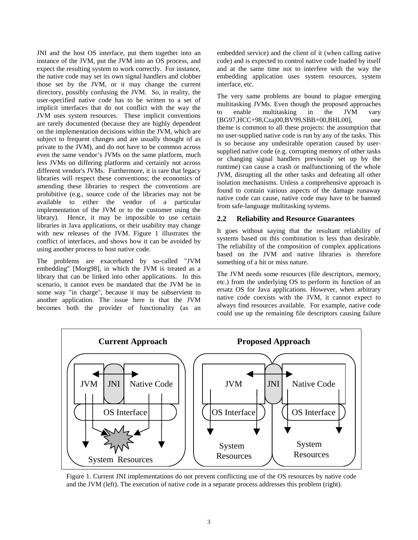JNI and the host OS interface, put them together into an instance of the JVM, put the JVM into an OS process, and expect the resulting system to work correctly. For instance, the native code may set its own signal handlers and clobber those set by the JVM, or it may change the current directory, possibly confusing the JVM. So, in reality, the user-specified native code has to be written to a set of implicit interfaces that do not conflict with the way the JVM uses system resources. These implicit conventions are rarely documented (because they are highly dependent on the implementation decisions within the JVM, which are subject to frequent changes and are usually thought of as private to the JVM), and do not have to be common across even the same vendor's JVMs on the same platform, much less JVMs on differing platforms and certainly not across different vendor's JVMs. Furthermore, it is rare that legacy libraries will respect these conventions; the economics of amending these libraries to respect the conventions are prohibitive (e.g., source code of the libraries may not be available to either the vendor of a particular implementation of the JVM or to the customer using the library). Hence, it may be impossible to use certain libraries in Java applications, or their usability may change with new releases of the JVM. Figure 1 illustrates the conflict of interfaces, and shows how it can be avoided by using another process to host native code.

The problems are exacerbated by so-called "JVM embedding" [Morg98], in which the JVM is treated as a library that can be linked into other applications. In this scenario, it cannot even be mandated that the JVM be in some way "in charge", because it may be subservient to another application. The issue here is that the JVM becomes both the provider of functionality (as an

embedded service) and the client of it (when calling native code) and is expected to control native code loaded by itself and at the same time not to interfere with the way the embedding application uses system resources, system interface, etc.

The very same problems are bound to plague emerging multitasking JVMs. Even though the proposed approaches to enable multitasking in the JVM vary [BG97,HCC+98,Czaj00,BV99,SBB+00,BHL00], one theme is common to all these projects: the assumption that no user-supplied native code is run by any of the tasks. This is so because any undesirable operation caused by usersupplied native code (e.g. corrupting memory of other tasks or changing signal handlers previously set up by the runtime) can cause a crash or malfunctioning of the whole JVM, disrupting all the other tasks and defeating all other isolation mechanisms. Unless a comprehensive approach is found to contain various aspects of the damage runaway native code can cause, native code may have to be banned from safe-language multitasking systems.

#### **2.2 Reliability and Resource Guarantees**

It goes without saying that the resultant reliability of systems based on this combination is less than desirable. The reliability of the composition of complex applications based on the JVM and native libraries is therefore something of a hit or miss nature.

The JVM needs some resources (file descriptors, memory, etc.) from the underlying OS to perform its function of an ersatz OS for Java applications. However, when arbitrary native code coexists with the JVM, it cannot expect to always find resources available. For example, native code could use up the remaining file descriptors causing failure



Figure 1. Current JNI implementations do not prevent conflicting use of the OS resources by native code and the JVM (left). The execution of native code in a separate process addresses this problem (right).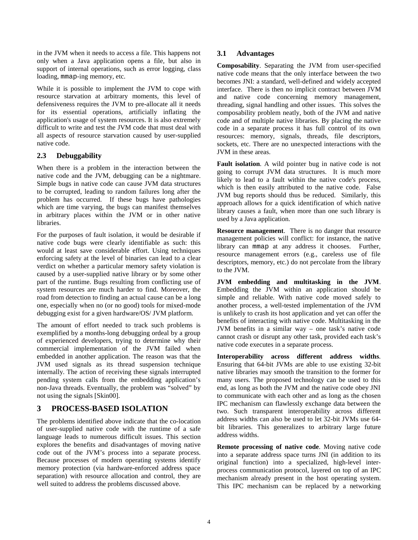in the JVM when it needs to access a file. This happens not only when a Java application opens a file, but also in support of internal operations, such as error logging, class loading, mmap-ing memory, etc.

While it is possible to implement the JVM to cope with resource starvation at arbitrary moments, this level of defensiveness requires the JVM to pre-allocate all it needs for its essential operations, artificially inflating the application's usage of system resources. It is also extremely difficult to write and test the JVM code that must deal with all aspects of resource starvation caused by user-supplied native code.

### **2.3 Debuggability**

When there is a problem in the interaction between the native code and the JVM, debugging can be a nightmare. Simple bugs in native code can cause JVM data structures to be corrupted, leading to random failures long after the problem has occurred. If these bugs have pathologies which are time varying, the bugs can manifest themselves in arbitrary places within the JVM or in other native libraries.

For the purposes of fault isolation, it would be desirable if native code bugs were clearly identifiable as such: this would at least save considerable effort. Using techniques enforcing safety at the level of binaries can lead to a clear verdict on whether a particular memory safety violation is caused by a user-supplied native library or by some other part of the runtime. Bugs resulting from conflicting use of system resources are much harder to find. Moreover, the road from detection to finding an actual cause can be a long one, especially when no (or no good) tools for mixed-mode debugging exist for a given hardware/OS/ JVM platform.

The amount of effort needed to track such problems is exemplified by a months-long debugging ordeal by a group of experienced developers, trying to determine why their commercial implementation of the JVM failed when embedded in another application. The reason was that the JVM used signals as its thread suspension technique internally. The action of receiving these signals interrupted pending system calls from the embedding application's non-Java threads. Eventually, the problem was "solved" by not using the signals [Skin00].

# **3 PROCESS-BASED ISOLATION**

The problems identified above indicate that the co-location of user-supplied native code with the runtime of a safe language leads to numerous difficult issues. This section explores the benefits and disadvantages of moving native code out of the JVM's process into a separate process. Because processes of modern operating systems identify memory protection (via hardware-enforced address space separation) with resource allocation and control, they are well suited to address the problems discussed above.

#### **3.1 Advantages**

**Composability**. Separating the JVM from user-specified native code means that the only interface between the two becomes JNI: a standard, well-defined and widely accepted interface. There is then no implicit contract between JVM and native code concerning memory management, threading, signal handling and other issues. This solves the composability problem neatly, both of the JVM and native code and of multiple native libraries. By placing the native code in a separate process it has full control of its own resources: memory, signals, threads, file descriptors, sockets, etc. There are no unexpected interactions with the JVM in these areas.

**Fault isolation**. A wild pointer bug in native code is not going to corrupt JVM data structures. It is much more likely to lead to a fault within the native code's process, which is then easily attributed to the native code. False JVM bug reports should thus be reduced. Similarly, this approach allows for a quick identification of which native library causes a fault, when more than one such library is used by a Java application.

**Resource management**. There is no danger that resource management policies will conflict: for instance, the native library can mmap at any address it chooses. Further, resource management errors (e.g., careless use of file descriptors, memory, etc.) do not percolate from the library to the JVM.

**JVM embedding and multitasking in the JVM**. Embedding the JVM within an application should be simple and reliable. With native code moved safely to another process, a well-tested implementation of the JVM is unlikely to crash its host application and yet can offer the benefits of interacting with native code. Multitasking in the JVM benefits in a similar way – one task's native code cannot crash or disrupt any other task, provided each task's native code executes in a separate process.

**Interoperability across different address widths**. Ensuring that 64-bit JVMs are able to use existing 32-bit native libraries may smooth the transition to the former for many users. The proposed technology can be used to this end, as long as both the JVM and the native code obey JNI to communicate with each other and as long as the chosen IPC mechanism can flawlessly exchange data between the two. Such transparent interoperability across different address widths can also be used to let 32-bit JVMs use 64 bit libraries. This generalizes to arbitrary large future address widths.

**Remote processing of native code**. Moving native code into a separate address space turns JNI (in addition to its original function) into a specialized, high-level interprocess communication protocol, layered on top of an IPC mechanism already present in the host operating system. This IPC mechanism can be replaced by a networking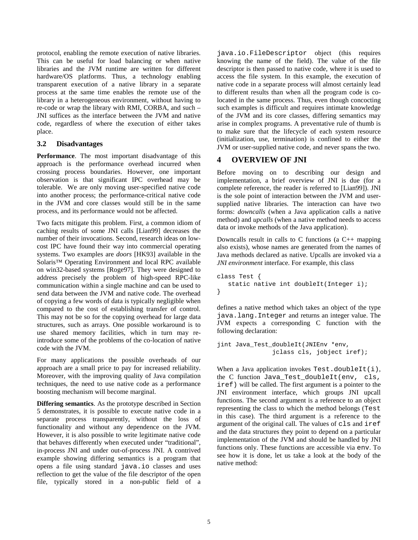protocol, enabling the remote execution of native libraries. This can be useful for load balancing or when native libraries and the JVM runtime are written for different hardware/OS platforms. Thus, a technology enabling transparent execution of a native library in a separate process at the same time enables the remote use of the library in a heterogeneous environment, without having to re-code or wrap the library with RMI, CORBA, and such – JNI suffices as the interface between the JVM and native code, regardless of where the execution of either takes place.

### **3.2 Disadvantages**

**Performance**. The most important disadvantage of this approach is the performance overhead incurred when crossing process boundaries. However, one important observation is that significant IPC overhead may be tolerable. We are only moving user-specified native code into another process; the performance-critical native code in the JVM and core classes would still be in the same process, and its performance would not be affected.

Two facts mitigate this problem. First, a common idiom of caching results of some JNI calls [Lian99] decreases the number of their invocations. Second, research ideas on lowcost IPC have found their way into commercial operating systems. Two examples are *doors* [HK93] available in the Solaris™ Operating Environment and local RPC available on win32-based systems [Roge97]. They were designed to address precisely the problem of high-speed RPC-like communication within a single machine and can be used to send data between the JVM and native code. The overhead of copying a few words of data is typically negligible when compared to the cost of establishing transfer of control. This may not be so for the copying overhead for large data structures, such as arrays. One possible workaround is to use shared memory facilities, which in turn may reintroduce some of the problems of the co-location of native code with the JVM.

For many applications the possible overheads of our approach are a small price to pay for increased reliability. Moreover, with the improving quality of Java compilation techniques, the need to use native code as a performance boosting mechanism will become marginal.

**Differing semantics**. As the prototype described in Section 5 demonstrates, it is possible to execute native code in a separate process transparently, without the loss of functionality and without any dependence on the JVM. However, it is also possible to write legitimate native code that behaves differently when executed under "traditional", in-process JNI and under out-of-process JNI. A contrived example showing differing semantics is a program that opens a file using standard java.io classes and uses reflection to get the value of the file descriptor of the open file, typically stored in a non-public field of a

java.io.FileDescriptor object (this requires knowing the name of the field). The value of the file descriptor is then passed to native code, where it is used to access the file system. In this example, the execution of native code in a separate process will almost certainly lead to different results than when all the program code is colocated in the same process. Thus, even though concocting such examples is difficult and requires intimate knowledge of the JVM and its core classes, differing semantics may arise in complex programs. A preventative rule of thumb is to make sure that the lifecycle of each system resource (initialization, use, termination) is confined to either the JVM or user-supplied native code, and never spans the two.

# **4 OVERVIEW OF JNI**

Before moving on to describing our design and implementation, a brief overview of JNI is due (for a complete reference, the reader is referred to [Lian99]). JNI is the sole point of interaction between the JVM and usersupplied native libraries. The interaction can have two forms: *downcalls* (when a Java application calls a native method) and *upcalls* (when a native method needs to access data or invoke methods of the Java application).

Downcalls result in calls to C functions (a  $C_{++}$  mapping also exists), whose names are generated from the names of Java methods declared as native. Upcalls are invoked via a *JNI environment* interface. For example, this class

```
class Test {
   static native int doubleIt(Integer i);
}
```
defines a native method which takes an object of the type java.lang.Integer and returns an integer value. The JVM expects a corresponding C function with the following declaration:

```
jint Java_Test_doubleIt(JNIEnv *env,
               jclass cls, jobject iref);
```
When a Java application invokes  $Test.doublet(i),$ the C function Java\_Test\_doubleIt(env, cls, iref) will be called. The first argument is a pointer to the JNI environment interface, which groups JNI upcall functions. The second argument is a reference to an object representing the class to which the method belongs (Test in this case). The third argument is a reference to the argument of the original call. The values of cls and iref and the data structures they point to depend on a particular implementation of the JVM and should be handled by JNI functions only. These functions are accessible via env. To see how it is done, let us take a look at the body of the native method: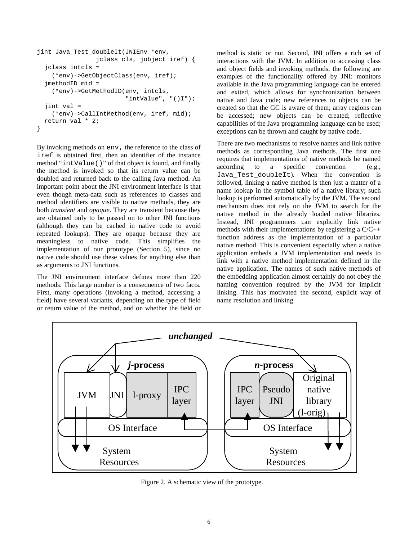```
jint Java_Test_doubleIt(JNIEnv *env,
                jclass cls, jobject iref) {
  jclass intcls =
    (*env)->GetObjectClass(env, iref);
  jmethodID mid =
    (*env)->GetMethodID(env, intcls,
                        "intValue", "()I");
  jint val =
    (*env)->CallIntMethod(env, iref, mid);
 return val * 2;
}
```
By invoking methods on env, the reference to the class of iref is obtained first, then an identifier of the instance method "intValue()" of that object is found, and finally the method is invoked so that its return value can be doubled and returned back to the calling Java method. An important point about the JNI environment interface is that even though meta-data such as references to classes and method identifiers are visible to native methods, they are both *transient* and *opaque*. They are transient because they are obtained only to be passed on to other JNI functions (although they can be cached in native code to avoid repeated lookups). They are opaque because they are meaningless to native code. This simplifies the implementation of our prototype (Section 5), since no native code should use these values for anything else than as arguments to JNI functions.

The JNI environment interface defines more than 220 methods. This large number is a consequence of two facts. First, many operations (invoking a method, accessing a field) have several variants, depending on the type of field or return value of the method, and on whether the field or method is static or not. Second, JNI offers a rich set of interactions with the JVM. In addition to accessing class and object fields and invoking methods, the following are examples of the functionality offered by JNI: monitors available in the Java programming language can be entered and exited, which allows for synchronization between native and Java code; new references to objects can be created so that the GC is aware of them; array regions can be accessed; new objects can be created; reflective capabilities of the Java programming language can be used; exceptions can be thrown and caught by native code.

There are two mechanisms to resolve names and link native methods as corresponding Java methods. The first one requires that implementations of native methods be named according to a specific convention (e.g., Java\_Test\_doubleIt). When the convention is followed, linking a native method is then just a matter of a name lookup in the symbol table of a native library; such lookup is performed automatically by the JVM. The second mechanism does not rely on the JVM to search for the native method in the already loaded native libraries. Instead, JNI programmers can explicitly link native methods with their implementations by registering a C/C++ function address as the implementation of a particular native method. This is convenient especially when a native application embeds a JVM implementation and needs to link with a native method implementation defined in the native application. The names of such native methods of the embedding application almost certainly do not obey the naming convention required by the JVM for implicit linking. This has motivated the second, explicit way of name resolution and linking.



Figure 2. A schematic view of the prototype.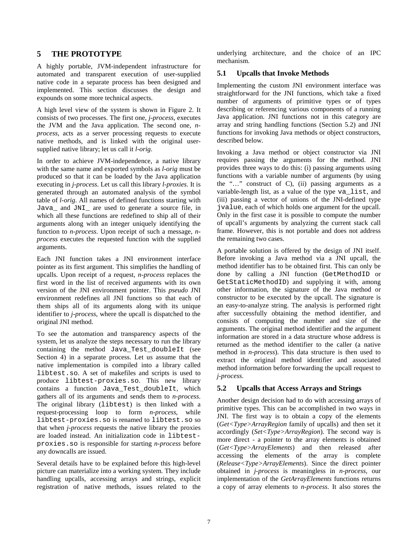## **5 THE PROTOTYPE**

A highly portable, JVM-independent infrastructure for automated and transparent execution of user-supplied native code in a separate process has been designed and implemented. This section discusses the design and expounds on some more technical aspects.

A high level view of the system is shown in Figure 2. It consists of two processes. The first one, *j-process*, executes the JVM and the Java application. The second one, *nprocess*, acts as a server processing requests to execute native methods, and is linked with the original usersupplied native library; let us call it *l-orig*.

In order to achieve JVM-independence, a native library with the same name and exported symbols as *l-orig* must be produced so that it can be loaded by the Java application executing in *j-process*. Let us call this library *l-proxies*. It is generated through an automated analysis of the symbol table of *l-orig*. All names of defined functions starting with Java\_ and JNI\_ are used to generate a source file, in which all these functions are redefined to ship all of their arguments along with an integer uniquely identifying the function to *n-process*. Upon receipt of such a message, *nprocess* executes the requested function with the supplied arguments.

Each JNI function takes a JNI environment interface pointer as its first argument. This simplifies the handling of upcalls. Upon receipt of a request, *n-process* replaces the first word in the list of received arguments with its own version of the JNI environment pointer. This *pseudo* JNI environment redefines all JNI functions so that each of them ships all of its arguments along with its unique identifier to *j-process*, where the upcall is dispatched to the original JNI method.

To see the automation and transparency aspects of the system, let us analyze the steps necessary to run the library containing the method Java\_Test\_doubleIt (see Section 4) in a separate process. Let us assume that the native implementation is compiled into a library called libtest.so. A set of makefiles and scripts is used to produce libtest-proxies.so. This new library contains a function Java\_Test\_doubleIt, which gathers all of its arguments and sends them to *n-process*. The original library (libtest) is then linked with a request-processing loop to form *n-process*, while libtest-proxies.so is renamed to libtest.so so that when *j-process* requests the native library the proxies are loaded instead. An initialization code in libtestproxies.so is responsible for starting *n-process* before any downcalls are issued.

Several details have to be explained before this high-level picture can materialize into a working system. They include handling upcalls, accessing arrays and strings, explicit registration of native methods, issues related to the

underlying architecture, and the choice of an IPC mechanism.

## **5.1 Upcalls that Invoke Methods**

Implementing the custom JNI environment interface was straightforward for the JNI functions, which take a fixed number of arguments of primitive types or of types describing or referencing various components of a running Java application. JNI functions not in this category are array and string handling functions (Section 5.2) and JNI functions for invoking Java methods or object constructors, described below.

Invoking a Java method or object constructor via JNI requires passing the arguments for the method. JNI provides three ways to do this: (i) passing arguments using functions with a variable number of arguments (by using the "…" construct of C), (ii) passing arguments as a variable-length list, as a value of the type va\_list, and (iii) passing a vector of unions of the JNI-defined type jvalue, each of which holds one argument for the upcall. Only in the first case it is possible to compute the number of upcall's arguments by analyzing the current stack call frame. However, this is not portable and does not address the remaining two cases.

A portable solution is offered by the design of JNI itself. Before invoking a Java method via a JNI upcall, the method identifier has to be obtained first. This can only be done by calling a JNI function (GetMethodID or GetStaticMethodID) and supplying it with, among other information, the signature of the Java method or constructor to be executed by the upcall. The signature is an easy-to-analyze string. The analysis is performed right after successfully obtaining the method identifier, and consists of computing the number and size of the arguments. The original method identifier and the argument information are stored in a data structure whose address is returned as the method identifier to the caller (a native method in *n-process*). This data structure is then used to extract the original method identifier and associated method information before forwarding the upcall request to *j-process*.

# **5.2 Upcalls that Access Arrays and Strings**

Another design decision had to do with accessing arrays of primitive types. This can be accomplished in two ways in JNI. The first way is to obtain a copy of the elements (*Get<Type>ArrayRegion* family of upcalls) and then set it accordingly (*Set<Type>ArrayRegion*). The second way is more direct - a pointer to the array elements is obtained (*Get<Type>ArrayElements*) and then released after accessing the elements of the array is complete (*Release<Type>ArrayElements*). Since the direct pointer obtained in *j-process* is meaningless in *n-process*, our implementation of the *GetArrayElements* functions returns a copy of array elements to *n-process*. It also stores the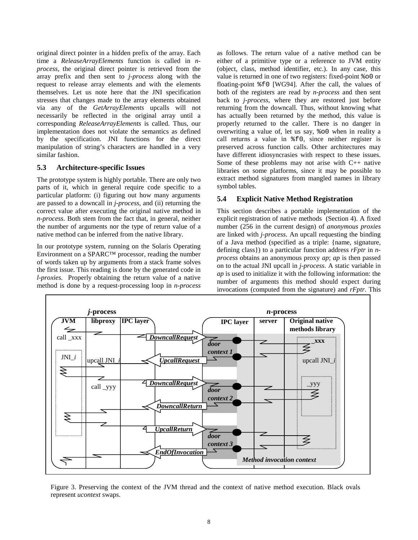original direct pointer in a hidden prefix of the array. Each time a *ReleaseArrayElements* function is called in *nprocess*, the original direct pointer is retrieved from the array prefix and then sent to *j-process* along with the request to release array elements and with the elements themselves. Let us note here that the JNI specification stresses that changes made to the array elements obtained via any of the *GetArrayElements* upcalls will not necessarily be reflected in the original array until a corresponding *ReleaseArrayElements* is called. Thus, our implementation does not violate the semantics as defined by the specification. JNI functions for the direct manipulation of string's characters are handled in a very similar fashion.

#### **5.3 Architecture-specific Issues**

The prototype system is highly portable. There are only two parts of it, which in general require code specific to a particular platform: (i) figuring out how many arguments are passed to a downcall in *j-process*, and (ii) returning the correct value after executing the original native method in *n-process*. Both stem from the fact that, in general, neither the number of arguments nor the type of return value of a native method can be inferred from the native library.

In our prototype system, running on the Solaris Operating Environment on a SPARC™ processor, reading the number of words taken up by arguments from a stack frame solves the first issue. This reading is done by the generated code in *l-proxies.* Properly obtaining the return value of a native method is done by a request-processing loop in *n-process*

as follows. The return value of a native method can be either of a primitive type or a reference to JVM entity (object, class, method identifier, etc.). In any case, this value is returned in one of two registers: fixed-point %o0 or floating-point %f0 [WG94]. After the call, the values of both of the registers are read by *n-process* and then sent back to *j-process*, where they are restored just before returning from the downcall. Thus, without knowing what has actually been returned by the method, this value is properly returned to the caller. There is no danger in overwriting a value of, let us say, %o0 when in reality a call returns a value in %f0, since neither register is preserved across function calls. Other architectures may have different idiosyncrasies with respect to these issues. Some of these problems may not arise with C++ native libraries on some platforms, since it may be possible to extract method signatures from mangled names in library symbol tables.

### **5.4 Explicit Native Method Registration**

This section describes a portable implementation of the explicit registration of native methods (Section 4). A fixed number (256 in the current design) of *anonymous proxies* are linked with *j-process*. An upcall requesting the binding of a Java method (specified as a triple: {name, signature, defining class}) to a particular function address *rFptr* in *nprocess* obtains an anonymous proxy *ap*; *ap* is then passed on to the actual JNI upcall in *j-process*. A static variable in *ap* is used to initialize it with the following information: the number of arguments this method should expect during invocations (computed from the signature) and *rFptr*. This



Figure 3. Preserving the context of the JVM thread and the context of native method execution. Black ovals represent *ucontext* swaps.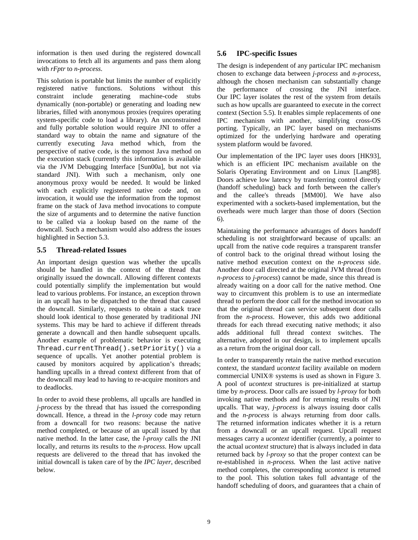information is then used during the registered downcall invocations to fetch all its arguments and pass them along with *rFptr* to *n-process*.

This solution is portable but limits the number of explicitly registered native functions. Solutions without this constraint include generating machine-code stubs dynamically (non-portable) or generating and loading new libraries, filled with anonymous proxies (requires operating system-specific code to load a library). An unconstrained and fully portable solution would require JNI to offer a standard way to obtain the name and signature of the currently executing Java method which, from the perspective of native code, is the topmost Java method on the execution stack (currently this information is available via the JVM Debugging Interface [Sun00a], but not via standard JNI). With such a mechanism, only one anonymous proxy would be needed. It would be linked with each explicitly registered native code and, on invocation, it would use the information from the topmost frame on the stack of Java method invocations to compute the size of arguments and to determine the native function to be called via a lookup based on the name of the downcall. Such a mechanism would also address the issues highlighted in Section 5.3.

#### **5.5 Thread-related Issues**

An important design question was whether the upcalls should be handled in the context of the thread that originally issued the downcall. Allowing different contexts could potentially simplify the implementation but would lead to various problems. For instance, an exception thrown in an upcall has to be dispatched to the thread that caused the downcall. Similarly, requests to obtain a stack trace should look identical to those generated by traditional JNI systems. This may be hard to achieve if different threads generate a downcall and then handle subsequent upcalls. Another example of problematic behavior is executing Thread.currentThread().setPriority() via a sequence of upcalls. Yet another potential problem is caused by monitors acquired by application's threads; handling upcalls in a thread context different from that of the downcall may lead to having to re-acquire monitors and to deadlocks.

In order to avoid these problems, all upcalls are handled in *j-process* by the thread that has issued the corresponding downcall. Hence, a thread in the *l-proxy* code may return from a downcall for two reasons: because the native method completed, or because of an upcall issued by that native method. In the latter case, the *l-proxy* calls the JNI locally, and returns its results to the *n-process*. How upcall requests are delivered to the thread that has invoked the initial downcall is taken care of by the *IPC layer*, described below.

#### **5.6 IPC-specific Issues**

The design is independent of any particular IPC mechanism chosen to exchange data between *j-process* and *n-process*, although the chosen mechanism can substantially change the performance of crossing the JNI interface. Our IPC layer isolates the rest of the system from details such as how upcalls are guaranteed to execute in the correct context (Section 5.5). It enables simple replacements of one IPC mechanism with another, simplifying cross-OS porting. Typically, an IPC layer based on mechanisms optimized for the underlying hardware and operating system platform would be favored.

Our implementation of the IPC layer uses doors [HK93], which is an efficient IPC mechanism available on the Solaris Operating Environment and on Linux [Lang98]. Doors achieve low latency by transferring control directly (handoff scheduling) back and forth between the caller's and the callee's threads [MM00]. We have also experimented with a sockets-based implementation, but the overheads were much larger than those of doors (Section 6).

Maintaining the performance advantages of doors handoff scheduling is not straightforward because of upcalls: an upcall from the native code requires a transparent transfer of control back to the original thread without losing the native method execution context on the *n-process* side. Another door call directed at the original JVM thread (from *n-process* to *j-process*) cannot be made, since this thread is already waiting on a door call for the native method. One way to circumvent this problem is to use an intermediate thread to perform the door call for the method invocation so that the original thread can service subsequent door calls from the *n-process*. However, this adds two additional threads for each thread executing native methods; it also adds additional full thread context switches. The alternative, adopted in our design, is to implement upcalls as a return from the original door call.

In order to transparently retain the native method execution context, the standard *ucontext* facility available on modern commercial UNIX® systems is used as shown in Figure 3. A pool of *ucontext* structures is pre-initialized at startup time by *n-process*. Door calls are issued by *l-proxy* for both invoking native methods and for returning results of JNI upcalls. That way, *j-process* is always issuing door calls and the *n-process* is always returning from door calls. The returned information indicates whether it is a return from a downcall or an upcall request. Upcall request messages carry a *ucontext* identifier (currently, a pointer to the actual *ucontext* structure) that is always included in data returned back by *l-proxy* so that the proper context can be re-established in *n-process.* When the last active native method completes, the corresponding *ucontext* is returned to the pool. This solution takes full advantage of the handoff scheduling of doors, and guarantees that a chain of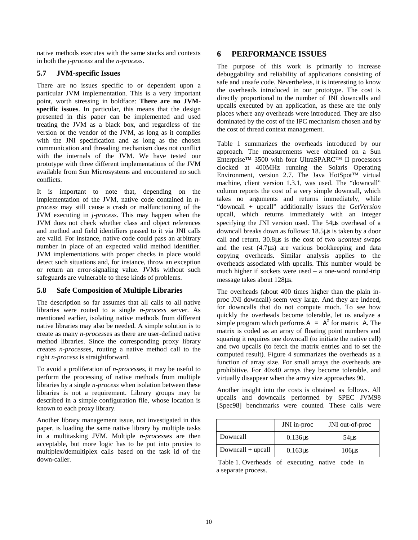native methods executes with the same stacks and contexts in both the *j-process* and the *n-process*.

### **5.7 JVM-specific Issues**

There are no issues specific to or dependent upon a particular JVM implementation. This is a very important point, worth stressing in boldface: **There are no JVMspecific issues**. In particular, this means that the design presented in this paper can be implemented and used treating the JVM as a black box, and regardless of the version or the vendor of the JVM, as long as it complies with the JNI specification and as long as the chosen communication and threading mechanism does not conflict with the internals of the JVM. We have tested our prototype with three different implementations of the JVM available from Sun Microsystems and encountered no such conflicts.

It is important to note that, depending on the implementation of the JVM, native code contained in *nprocess* may still cause a crash or malfunctioning of the JVM executing in *j-process*. This may happen when the JVM does not check whether class and object references and method and field identifiers passed to it via JNI calls are valid. For instance, native code could pass an arbitrary number in place of an expected valid method identifier. JVM implementations with proper checks in place would detect such situations and, for instance, throw an exception or return an error-signaling value. JVMs without such safeguards are vulnerable to these kinds of problems.

#### **5.8 Safe Composition of Multiple Libraries**

The description so far assumes that all calls to all native libraries were routed to a single *n-process* server. As mentioned earlier, isolating native methods from different native libraries may also be needed. A simple solution is to create as many *n-process*es as there are user-defined native method libraries. Since the corresponding proxy library creates *n-process*es, routing a native method call to the right *n-process* is straightforward.

To avoid a proliferation of *n-process*es, it may be useful to perform the processing of native methods from multiple libraries by a single *n-process* when isolation between these libraries is not a requirement. Library groups may be described in a simple configuration file, whose location is known to each proxy library.

Another library management issue, not investigated in this paper, is loading the same native library by multiple tasks in a multitasking JVM. Multiple *n-process*es are then acceptable, but more logic has to be put into proxies to multiplex/demultiplex calls based on the task id of the down-caller.

# **6 PERFORMANCE ISSUES**

The purpose of this work is primarily to increase debuggability and reliability of applications consisting of safe and unsafe code. Nevertheless, it is interesting to know the overheads introduced in our prototype. The cost is directly proportional to the number of JNI downcalls and upcalls executed by an application, as these are the only places where any overheads were introduced. They are also dominated by the cost of the IPC mechanism chosen and by the cost of thread context management.

Table 1 summarizes the overheads introduced by our approach. The measurements were obtained on a Sun Enterprise™ 3500 with four UltraSPARC™ II processors clocked at 400MHz running the Solaris Operating Environment, version 2.7. The Java HotSpot™ virtual machine, client version 1.3.1, was used. The "downcall" column reports the cost of a very simple downcall, which takes no arguments and returns immediately, while "downcall + upcall" additionally issues the *GetVersion* upcall, which returns immediately with an integer specifying the JNI version used. The 54µs overhead of a downcall breaks down as follows: 18.5µs is taken by a door call and return, 30.8µs is the cost of two *ucontext* swaps and the rest  $(4.7\mu s)$  are various bookkeeping and data copying overheads. Similar analysis applies to the overheads associated with upcalls. This number would be much higher if sockets were used – a one-word round-trip message takes about 128µs.

The overheads (about 400 times higher than the plain inproc JNI downcall) seem very large. And they are indeed, for downcalls that do not compute much. To see how quickly the overheads become tolerable, let us analyze a simple program which performs  $A = A^2$  for matrix A. The matrix is coded as an array of floating point numbers and squaring it requires one downcall (to initiate the native call) and two upcalls (to fetch the matrix entries and to set the computed result). Figure 4 summarizes the overheads as a function of array size. For small arrays the overheads are prohibitive. For 40x40 arrays they become tolerable, and virtually disappear when the array size approaches 90.

Another insight into the costs is obtained as follows. All upcalls and downcalls performed by SPEC JVM98 [Spec98] benchmarks were counted. These calls were

|                     | JNI in-proc  | JNI out-of-proc  |
|---------------------|--------------|------------------|
| Downcall            | $0.136\mu s$ | 54 <sub>us</sub> |
| $Downcall + upcall$ | $0.163\mu s$ | $106\mu s$       |

Table 1. Overheads of executing native code in a separate process.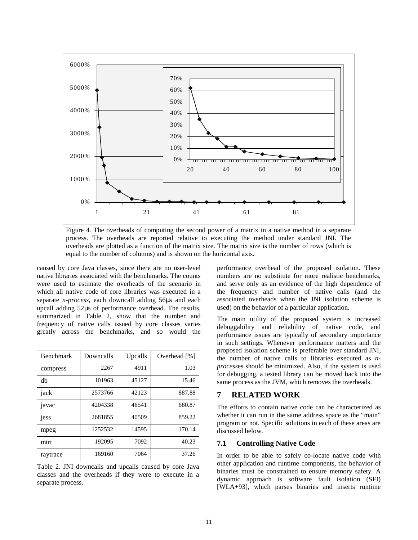

Figure 4. The overheads of computing the second power of a matrix in a native method in a separate process. The overheads are reported relative to executing the method under standard JNI. The overheads are plotted as a function of the matrix size. The matrix size is the number of rows (which is equal to the number of columns) and is shown on the horizontal axis.

caused by core Java classes, since there are no user-level native libraries associated with the benchmarks. The counts were used to estimate the overheads of the scenario in which all native code of core libraries was executed in a separate *n-process*, each downcall adding 56µs and each upcall adding 52µs of performance overhead. The results, summarized in Table 2, show that the number and frequency of native calls issued by core classes varies greatly across the benchmarks, and so would the

| <b>Benchmark</b> | Downcalls | Upcalls | Overhead [%] |
|------------------|-----------|---------|--------------|
| compress         | 2267      | 4911    | 1.03         |
| db               | 101963    | 45127   | 15.46        |
| jack             | 2573766   | 42123   | 887.88       |
| javac            | 4204338   | 46541   | 680.87       |
| jess             | 2681855   | 40509   | 859.22       |
| mpeg             | 1252532   | 14595   | 170.14       |
| mtrt             | 192095    | 7092    | 40.23        |
| raytrace         | 169160    | 7064    | 37.26        |

Table 2. JNI downcalls and upcalls caused by core Java classes and the overheads if they were to execute in a separate process.

performance overhead of the proposed isolation. These numbers are no substitute for more realistic benchmarks, and serve only as an evidence of the high dependence of the frequency and number of native calls (and the associated overheads when the JNI isolation scheme is used) on the behavior of a particular application.

The main utility of the proposed system is increased debuggability and reliability of native code, and performance issues are typically of secondary importance in such settings. Whenever performance matters and the proposed isolation scheme is preferable over standard JNI, the number of native calls to libraries executed as *nprocess*es should be minimized. Also, if the system is used for debugging, a tested library can be moved back into the same process as the JVM, which removes the overheads.

## **7 RELATED WORK**

The efforts to contain native code can be characterized as whether it can run in the same address space as the "main" program or not. Specific solutions in each of these areas are discussed below.

#### **7.1 Controlling Native Code**

In order to be able to safely co-locate native code with other application and runtime components, the behavior of binaries must be constrained to ensure memory safety. A dynamic approach is software fault isolation (SFI) [WLA+93], which parses binaries and inserts runtime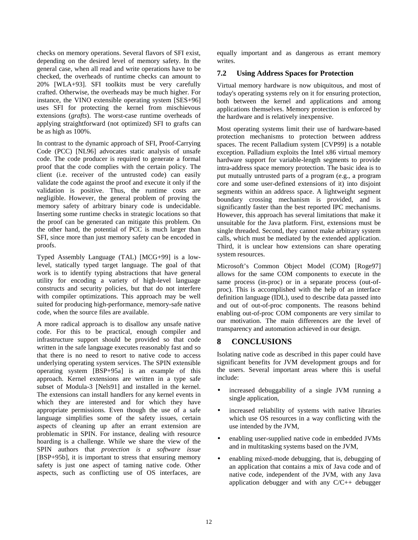checks on memory operations. Several flavors of SFI exist, depending on the desired level of memory safety. In the general case, when all read and write operations have to be checked, the overheads of runtime checks can amount to 20% [WLA+93]. SFI toolkits must be very carefully crafted. Otherwise, the overheads may be much higher. For instance, the VINO extensible operating system [SES+96] uses SFI for protecting the kernel from mischievous extensions (*grafts*). The worst-case runtime overheads of applying straightforward (not optimized) SFI to grafts can be as high as 100%.

In contrast to the dynamic approach of SFI, Proof-Carrying Code (PCC) [NL96] advocates static analysis of unsafe code. The code producer is required to generate a formal proof that the code complies with the certain policy. The client (i.e. receiver of the untrusted code) can easily validate the code against the proof and execute it only if the validation is positive. Thus, the runtime costs are negligible. However, the general problem of proving the memory safety of arbitrary binary code is undecidable. Inserting some runtime checks in strategic locations so that the proof can be generated can mitigate this problem. On the other hand, the potential of PCC is much larger than SFI, since more than just memory safety can be encoded in proofs.

Typed Assembly Language (TAL) [MCG+99] is a lowlevel, statically typed target language. The goal of that work is to identify typing abstractions that have general utility for encoding a variety of high-level language constructs and security policies, but that do not interfere with compiler optimizations. This approach may be well suited for producing high-performance, memory-safe native code, when the source files are available.

A more radical approach is to disallow any unsafe native code. For this to be practical, enough compiler and infrastructure support should be provided so that code written in the safe language executes reasonably fast and so that there is no need to resort to native code to access underlying operating system services. The SPIN extensible operating system [BSP+95a] is an example of this approach. Kernel extensions are written in a type safe subset of Modula-3 [Nels91] and installed in the kernel. The extensions can install handlers for any kernel events in which they are interested and for which they have appropriate permissions. Even though the use of a safe language simplifies some of the safety issues, certain aspects of cleaning up after an errant extension are problematic in SPIN. For instance, dealing with resource hoarding is a challenge. While we share the view of the SPIN authors that *protection is a software issue* [BSP+95b], it is important to stress that ensuring memory safety is just one aspect of taming native code. Other aspects, such as conflicting use of OS interfaces, are

equally important and as dangerous as errant memory writes.

## **7.2 Using Address Spaces for Protection**

Virtual memory hardware is now ubiquitous, and most of today's operating systems rely on it for ensuring protection, both between the kernel and applications and among applications themselves. Memory protection is enforced by the hardware and is relatively inexpensive.

Most operating systems limit their use of hardware-based protection mechanisms to protection between address spaces. The recent Palladium system [CVP99] is a notable exception. Palladium exploits the Intel x86 virtual memory hardware support for variable-length segments to provide intra-address space memory protection. The basic idea is to put mutually untrusted parts of a program (e.g., a program core and some user-defined extensions of it) into disjoint segments within an address space. A lightweight segment boundary crossing mechanism is provided, and is significantly faster than the best reported IPC mechanisms. However, this approach has several limitations that make it unsuitable for the Java platform. First, extensions must be single threaded. Second, they cannot make arbitrary system calls, which must be mediated by the extended application. Third, it is unclear how extensions can share operating system resources.

Microsoft's Common Object Model (COM) [Roge97] allows for the same COM components to execute in the same process (in-proc) or in a separate process (out-ofproc). This is accomplished with the help of an interface definition language (IDL), used to describe data passed into and out of out-of-proc components. The reasons behind enabling out-of-proc COM components are very similar to our motivation. The main differences are the level of transparency and automation achieved in our design.

# **8 CONCLUSIONS**

Isolating native code as described in this paper could have significant benefits for JVM development groups and for the users. Several important areas where this is useful include:

- increased debuggability of a single JVM running a single application,
- increased reliability of systems with native libraries which use OS resources in a way conflicting with the use intended by the JVM,
- enabling user-supplied native code in embedded JVMs and in multitasking systems based on the JVM,
- enabling mixed-mode debugging, that is, debugging of an application that contains a mix of Java code and of native code, independent of the JVM, with any Java application debugger and with any C/C++ debugger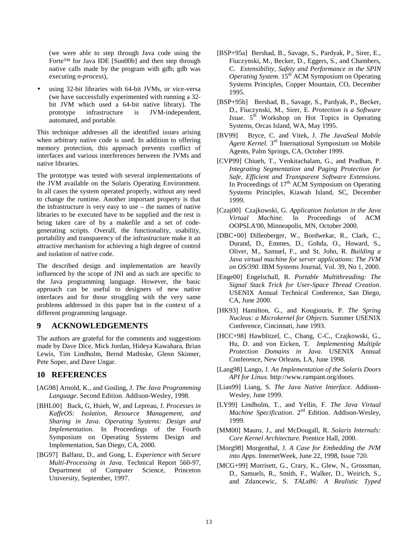(we were able to step through Java code using the Forte™ for Java IDE [Sun00b] and then step through native calls made by the program with gdb; gdb was executing *n-process*),

using 32-bit libraries with 64-bit JVMs, or vice-versa (we have successfully experimented with running a 32 bit JVM which used a 64-bit native library). The prototype infrastructure is JVM-independent, automated, and portable.

This technique addresses all the identified issues arising when arbitrary native code is used. In addition to offering memory protection, this approach prevents conflict of interfaces and various interferences between the JVMs and native libraries.

The prototype was tested with several implementations of the JVM available on the Solaris Operating Environment. In all cases the system operated properly, without any need to change the runtime. Another important property is that the infrastructure is very easy to use – the names of native libraries to be executed have to be supplied and the rest is being taken care of by a makefile and a set of codegenerating scripts. Overall, the functionality, usability, portability and transparency of the infrastructure make it an attractive mechanism for achieving a high degree of control and isolation of native code.

The described design and implementation are heavily influenced by the scope of JNI and as such are specific to the Java programming language. However, the basic approach can be useful to designers of new native interfaces and for those struggling with the very same problems addressed in this paper but in the context of a different programming language.

#### **9 ACKNOWLEDGEMENTS**

The authors are grateful for the comments and suggestions made by Dave Dice, Mick Jordan, Hideya Kawahara, Brian Lewis, Tim Lindholm, Bernd Mathiske, Glenn Skinner, Pete Soper, and Dave Ungar.

#### **10 REFERENCES**

- [AG98] Arnold, K., and Gosling, J. *The Java Programming Language*. Second Edition. Addison-Wesley, 1998.
- [BHL00] Back, G, Hsieh, W, and Lepreau, J. *Processes in KaffeOS: Isolation, Resource Management, and Sharing in Java. Operating Systems: Design and Implementation.* In Proceedings of the Fourth Symposium on Operating Systems Design and Implementation, San Diego, CA, 2000.
- [BG97] Balfanz, D., and Gong, L. *Experience with Secure Multi-Processing in Java*. Technical Report 560-97, Department of Computer Science, Princeton University, September, 1997.
- [BSP+95a] Bershad, B., Savage, S., Pardyak, P., Sirer, E., Fiuczynski, M., Becker, D., Eggers, S., and Chambers, C. *Extensibility, Safety and Performance in the SPIN Operating System.* 15<sup>th</sup> ACM Symposium on Operating Systems Principles, Copper Mountain, CO, December 1995.
- [BSP+95b] Bershad, B., Savage, S., Pardyak, P., Becker, D., Fiuczynski, M., Sirer, E. *Protection is a Software Issue*. 5<sup>th</sup> Workshop on Hot Topics in Operating Systems, Orcas Island, WA, May 1995.
- [BV99] Bryce, C. and Vitek, J. *The JavaSeal Mobile Agent Kernel.* 3rd International Symposium on Mobile Agents, Palm Springs, CA, October 1999.
- [CVP99] Chiueh, T., Venkitachalam, G., and Pradhan, P. *Integrating Segmentation and Paging Protection for Safe, Efficient and Transparent Software Extensions.* In Proceedings of  $17<sup>th</sup>$  ACM Symposium on Operating Systems Principles, Kiawah Island, SC, December 1999.
- [Czaj00] Czajkowski, G. *Application Isolation in the Java Virtual Machine.* In Proceedings of ACM OOPSLA'00, Minneapolis, MN, October 2000.
- [DBC+00] Dillenberger, W., Bordwekar, R., Clark, C., Durand, D., Emmes, D., Gohda, O., Howard, S., Oliver, M., Samuel, F., and St. John, R. *Building a Java virtual machine for server applications: The JVM on OS/390.* IBM Systems Journal, Vol. 39, No 1, 2000.
- [Enge00] Engelschall, R. *Portable Multithreading: The Signal Stack Trick for User-Space Thread Creation*. USENIX Annual Technical Conference, San Diego, CA, June 2000.
- [HK93] Hamilton, G., and Kougiouris, P. *The Spring Nucleus: a Microkernel for Objects.* Summer USENIX Conference, Cincinnati, June 1993.
- [HCC+98] Hawblitzel, C., Chang, C-C., Czajkowski, G., Hu, D. and von Eicken, T*. Implementing Multiple Protection Domains in Java*. USENIX Annual Conference, New Orleans, LA, June 1998.
- [Lang98] Lango, J. *An Implementation of the Solaris Doors API for Linux.* http://www.rampant.org/doors.
- [Lian99] Liang, S. *The Java Native Interface.* Addison-Wesley, June 1999.
- [LY99] Lindholm, T., and Yellin, F. *The Java Virtual Machine Specification*. 2nd Edition. Addison-Wesley, 1999.
- [MM00] Mauro, J., and McDougall, R. *Solaris Internals: Core Kernel Architecture.* Prentice Hall, 2000.
- [Morg98] Morgenthal, J. *A Case for Embedding the JVM into Apps.* InternetWeek, June 22, 1998, Issue 720.
- [MCG+99] Morrisett, G., Crary, K., Glew, N., Grossman, D., Samuels, R., Smith, F., Walker, D., Weirich, S., and Zdancewic, S. *TALx86: A Realistic Typed*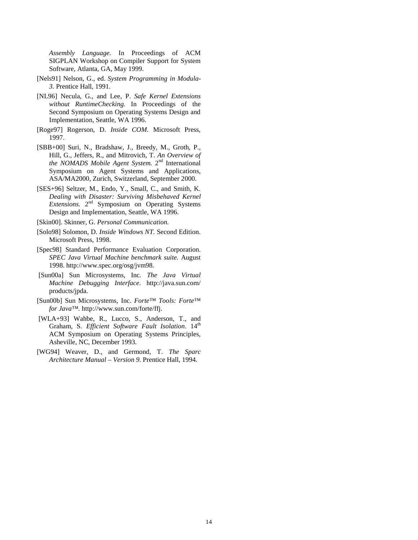*Assembly Language.* In Proceedings of ACM SIGPLAN Workshop on Compiler Support for System Software, Atlanta, GA, May 1999.

- [Nels91] Nelson, G., ed. *System Programming in Modula-3.* Prentice Hall, 1991.
- [NL96] Necula, G., and Lee, P. *Safe Kernel Extensions without RuntimeChecking.* In Proceedings of the Second Symposium on Operating Systems Design and Implementation, Seattle, WA 1996.
- [Roge97] Rogerson, D. *Inside COM*. Microsoft Press, 1997.
- [SBB+00] Suri, N., Bradshaw, J., Breedy, M., Groth, P., Hill, G., Jeffers, R., and Mitrovich, T. *An Overview of the NOMADS Mobile Agent System.* 2nd International Symposium on Agent Systems and Applications, ASA/MA2000, Zurich, Switzerland, September 2000.
- [SES+96] Seltzer, M., Endo, Y., Small, C., and Smith, K. *Dealing with Disaster: Surviving Misbehaved Kernel Extensions.* 2nd Symposium on Operating Systems Design and Implementation, Seattle, WA 1996.
- [Skin00]. Skinner, G. *Personal Communication.*
- [Solo98] Solomon, D. *Inside Windows NT.* Second Edition. Microsoft Press, 1998.
- [Spec98] Standard Performance Evaluation Corporation. *SPEC Java Virtual Machine benchmark suite.* August 1998. http://www.spec.org/osg/jvm98.
- [Sun00a] Sun Microsystems, Inc*. The Java Virtual Machine Debugging Interface*. http://java.sun.com/ products/jpda.
- [Sun00b] Sun Microsystems, Inc. *Forte™ Tools: Forte™ for Java™.* http://www.sun.com/forte/ffj.
- [WLA+93] Wahbe, R., Lucco, S., Anderson, T., and Graham, S. *Efficient Software Fault Isolation*. 14<sup>th</sup> ACM Symposium on Operating Systems Principles, Asheville, NC, December 1993.
- [WG94] Weaver, D., and Germond, T. *The Sparc Architecture Manual – Version 9.* Prentice Hall, 1994.